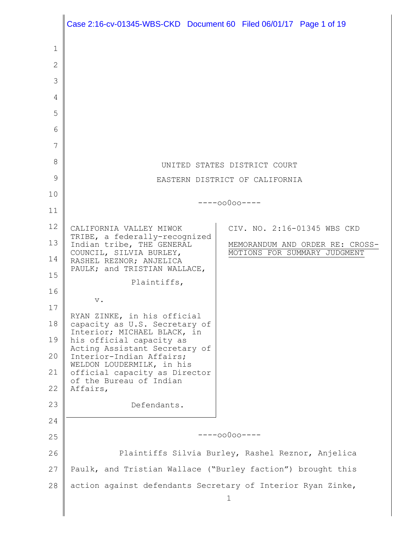|    | Case 2:16-cv-01345-WBS-CKD Document 60 Filed 06/01/17 Page 1 of 19 |                                 |  |                              |
|----|--------------------------------------------------------------------|---------------------------------|--|------------------------------|
| 1  |                                                                    |                                 |  |                              |
| 2  |                                                                    |                                 |  |                              |
| 3  |                                                                    |                                 |  |                              |
| 4  |                                                                    |                                 |  |                              |
| 5  |                                                                    |                                 |  |                              |
| 6  |                                                                    |                                 |  |                              |
| 7  |                                                                    |                                 |  |                              |
| 8  | UNITED STATES DISTRICT COURT                                       |                                 |  |                              |
| 9  | EASTERN DISTRICT OF CALIFORNIA                                     |                                 |  |                              |
| 10 |                                                                    |                                 |  |                              |
| 11 | $---00000---$                                                      |                                 |  |                              |
| 12 | CALIFORNIA VALLEY MIWOK                                            |                                 |  | CIV. NO. 2:16-01345 WBS CKD  |
| 13 | TRIBE, a federally-recognized<br>Indian tribe, THE GENERAL         | MEMORANDUM AND ORDER RE: CROSS- |  |                              |
| 14 | COUNCIL, SILVIA BURLEY,<br>RASHEL REZNOR; ANJELICA                 |                                 |  | MOTIONS FOR SUMMARY JUDGMENT |
| 15 | PAULK; and TRISTIAN WALLACE,                                       |                                 |  |                              |
| 16 | Plaintiffs,                                                        |                                 |  |                              |
| 17 | $\mathbf v$ .                                                      |                                 |  |                              |
| 18 | RYAN ZINKE, in his official<br>capacity as U.S. Secretary of       |                                 |  |                              |
| 19 | Interior; MICHAEL BLACK, in<br>his official capacity as            |                                 |  |                              |
| 20 | Acting Assistant Secretary of<br>Interior-Indian Affairs;          |                                 |  |                              |
| 21 | WELDON LOUDERMILK, in his<br>official capacity as Director         |                                 |  |                              |
| 22 | of the Bureau of Indian<br>Affairs,                                |                                 |  |                              |
| 23 | Defendants.                                                        |                                 |  |                              |
| 24 |                                                                    |                                 |  |                              |
| 25 | $---00000---$                                                      |                                 |  |                              |
| 26 | Plaintiffs Silvia Burley, Rashel Reznor, Anjelica                  |                                 |  |                              |
| 27 | Paulk, and Tristian Wallace ("Burley faction") brought this        |                                 |  |                              |
| 28 | action against defendants Secretary of Interior Ryan Zinke,        |                                 |  |                              |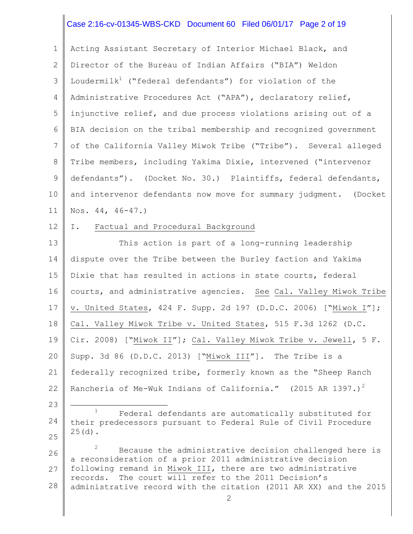# Case 2:16-cv-01345-WBS-CKD Document 60 Filed 06/01/17 Page 2 of 19

1 2 3 4 5 6 7 8 9 10 11 Acting Assistant Secretary of Interior Michael Black, and Director of the Bureau of Indian Affairs ("BIA") Weldon Loudermilk<sup>1</sup> ("federal defendants") for violation of the Administrative Procedures Act ("APA"), declaratory relief, injunctive relief, and due process violations arising out of a BIA decision on the tribal membership and recognized government of the California Valley Miwok Tribe ("Tribe"). Several alleged Tribe members, including Yakima Dixie, intervened ("intervenor defendants"). (Docket No. 30.) Plaintiffs, federal defendants, and intervenor defendants now move for summary judgment. (Docket Nos. 44, 46-47.)

#### 12 I. Factual and Procedural Background

13 14 15 16 17 18 19 20 21 22 This action is part of a long-running leadership dispute over the Tribe between the Burley faction and Yakima Dixie that has resulted in actions in state courts, federal courts, and administrative agencies. See Cal. Valley Miwok Tribe v. United States, 424 F. Supp. 2d 197 (D.D.C. 2006) ["Miwok I"]; Cal. Valley Miwok Tribe v. United States, 515 F.3d 1262 (D.C. Cir. 2008) ["Miwok II"]; Cal. Valley Miwok Tribe v. Jewell, 5 F. Supp. 3d 86 (D.D.C. 2013) ["Miwok III"]. The Tribe is a federally recognized tribe, formerly known as the "Sheep Ranch Rancheria of Me-Wuk Indians of California." (2015 AR 1397.)<sup>2</sup>

23

÷.

24 25 <sup>1</sup> Federal defendants are automatically substituted for their predecessors pursuant to Federal Rule of Civil Procedure  $25(d)$ .

26 27 28  $2^2$  Because the administrative decision challenged here is a reconsideration of a prior 2011 administrative decision following remand in Miwok III, there are two administrative records. The court will refer to the 2011 Decision's administrative record with the citation (2011 AR XX) and the 2015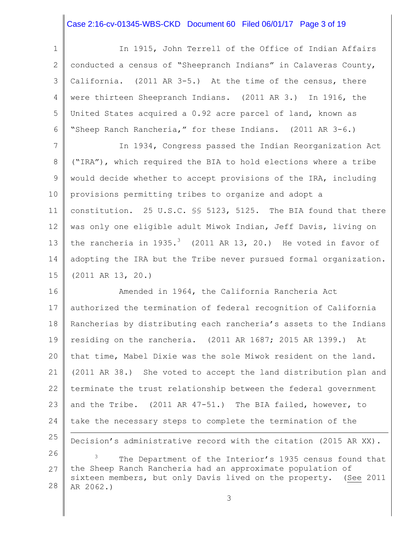# Case 2:16-cv-01345-WBS-CKD Document 60 Filed 06/01/17 Page 3 of 19

| $\mathbf{1}$    | In 1915, John Terrell of the Office of Indian Affairs                                                                          |  |  |  |
|-----------------|--------------------------------------------------------------------------------------------------------------------------------|--|--|--|
| 2               | conducted a census of "Sheepranch Indians" in Calaveras County,                                                                |  |  |  |
| 3               | California. (2011 AR 3-5.) At the time of the census, there                                                                    |  |  |  |
| 4               | were thirteen Sheepranch Indians. (2011 AR 3.) In 1916, the                                                                    |  |  |  |
| 5               | United States acquired a 0.92 acre parcel of land, known as                                                                    |  |  |  |
| 6               | "Sheep Ranch Rancheria," for these Indians. (2011 AR 3-6.)                                                                     |  |  |  |
| $7\phantom{.0}$ | In 1934, Congress passed the Indian Reorganization Act                                                                         |  |  |  |
| 8               | ("IRA"), which required the BIA to hold elections where a tribe                                                                |  |  |  |
| 9               | would decide whether to accept provisions of the IRA, including                                                                |  |  |  |
| 10 <sub>o</sub> | provisions permitting tribes to organize and adopt a                                                                           |  |  |  |
| 11              | constitution. 25 U.S.C. \$\$ 5123, 5125. The BIA found that there                                                              |  |  |  |
| 12              | was only one eligible adult Miwok Indian, Jeff Davis, living on                                                                |  |  |  |
| 13              | the rancheria in $1935.^3$ (2011 AR 13, 20.) He voted in favor of                                                              |  |  |  |
| 14              | adopting the IRA but the Tribe never pursued formal organization.                                                              |  |  |  |
| 15              | $(2011 \tAR 13, 20.)$                                                                                                          |  |  |  |
| 16              | Amended in 1964, the California Rancheria Act                                                                                  |  |  |  |
| 17              | authorized the termination of federal recognition of California                                                                |  |  |  |
| 18              | Rancherias by distributing each rancheria's assets to the Indians                                                              |  |  |  |
| 19              | residing on the rancheria. (2011 AR 1687; 2015 AR 1399.)<br>At                                                                 |  |  |  |
| 20              | that time, Mabel Dixie was the sole Miwok resident on the land.                                                                |  |  |  |
| 21              | (2011 AR 38.) She voted to accept the land distribution plan and                                                               |  |  |  |
| 22              | terminate the trust relationship between the federal government                                                                |  |  |  |
| 23              | and the Tribe. (2011 AR 47-51.) The BIA failed, however, to                                                                    |  |  |  |
| 24              | take the necessary steps to complete the termination of the                                                                    |  |  |  |
| 25              | Decision's administrative record with the citation (2015 AR XX).                                                               |  |  |  |
| 26              | 3<br>The Department of the Interior's 1935 census found that                                                                   |  |  |  |
| 27              | the Sheep Ranch Rancheria had an approximate population of<br>sixteen members, but only Davis lived on the property. (See 2011 |  |  |  |
| 28              | AR 2062.)                                                                                                                      |  |  |  |
|                 | 3                                                                                                                              |  |  |  |
|                 |                                                                                                                                |  |  |  |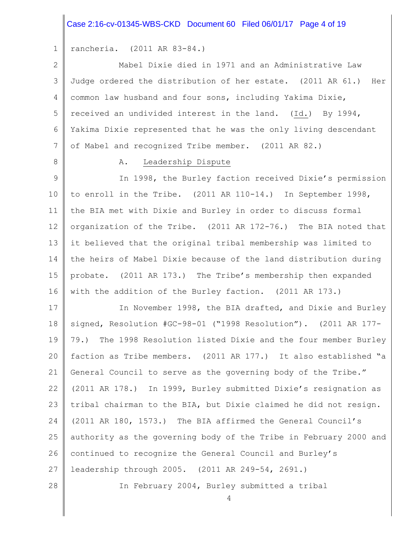#### Case 2:16-cv-01345-WBS-CKD Document 60 Filed 06/01/17 Page 4 of 19

1 rancheria. (2011 AR 83-84.)

2 3 4 5 6 7 Mabel Dixie died in 1971 and an Administrative Law Judge ordered the distribution of her estate. (2011 AR 61.) Her common law husband and four sons, including Yakima Dixie, received an undivided interest in the land. (Id.) By 1994, Yakima Dixie represented that he was the only living descendant of Mabel and recognized Tribe member. (2011 AR 82.)

8

28

#### A. Leadership Dispute

9 10 11 12 13 14 15 16 In 1998, the Burley faction received Dixie's permission to enroll in the Tribe. (2011 AR 110-14.) In September 1998, the BIA met with Dixie and Burley in order to discuss formal organization of the Tribe. (2011 AR 172-76.) The BIA noted that it believed that the original tribal membership was limited to the heirs of Mabel Dixie because of the land distribution during probate. (2011 AR 173.) The Tribe's membership then expanded with the addition of the Burley faction. (2011 AR 173.)

17 18 19 20 21 22 23 24 25 26 27 In November 1998, the BIA drafted, and Dixie and Burley signed, Resolution #GC-98-01 ("1998 Resolution"). (2011 AR 177- 79.) The 1998 Resolution listed Dixie and the four member Burley faction as Tribe members. (2011 AR 177.) It also established "a General Council to serve as the governing body of the Tribe." (2011 AR 178.) In 1999, Burley submitted Dixie's resignation as tribal chairman to the BIA, but Dixie claimed he did not resign. (2011 AR 180, 1573.) The BIA affirmed the General Council's authority as the governing body of the Tribe in February 2000 and continued to recognize the General Council and Burley's leadership through 2005. (2011 AR 249-54, 2691.)

In February 2004, Burley submitted a tribal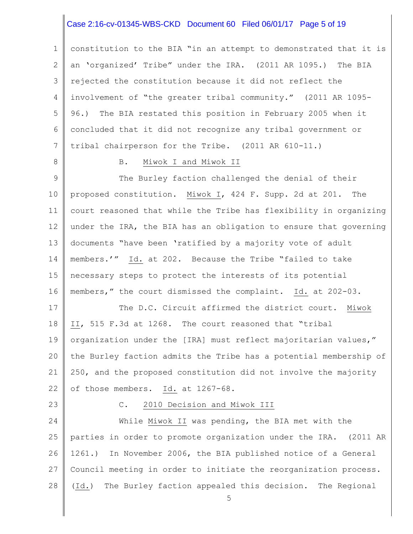#### Case 2:16-cv-01345-WBS-CKD Document 60 Filed 06/01/17 Page 5 of 19

1 2 3 4 5 6 7 constitution to the BIA "in an attempt to demonstrated that it is an 'organized' Tribe" under the IRA. (2011 AR 1095.) The BIA rejected the constitution because it did not reflect the involvement of "the greater tribal community." (2011 AR 1095- 96.) The BIA restated this position in February 2005 when it concluded that it did not recognize any tribal government or tribal chairperson for the Tribe. (2011 AR 610-11.)

8

#### B. Miwok I and Miwok II

9 10 11 12 13 14 15 16 The Burley faction challenged the denial of their proposed constitution. Miwok I, 424 F. Supp. 2d at 201. The court reasoned that while the Tribe has flexibility in organizing under the IRA, the BIA has an obligation to ensure that governing documents "have been 'ratified by a majority vote of adult members.'" Id. at 202. Because the Tribe "failed to take necessary steps to protect the interests of its potential members," the court dismissed the complaint. Id. at 202-03.

17 18 19 20 21 22 The D.C. Circuit affirmed the district court. Miwok II, 515 F.3d at 1268. The court reasoned that "tribal organization under the [IRA] must reflect majoritarian values," the Burley faction admits the Tribe has a potential membership of 250, and the proposed constitution did not involve the majority of those members. Id. at 1267-68.

23

#### C. 2010 Decision and Miwok III

24 25 26 27 28 While Miwok II was pending, the BIA met with the parties in order to promote organization under the IRA. (2011 AR 1261.) In November 2006, the BIA published notice of a General Council meeting in order to initiate the reorganization process. (Id.) The Burley faction appealed this decision. The Regional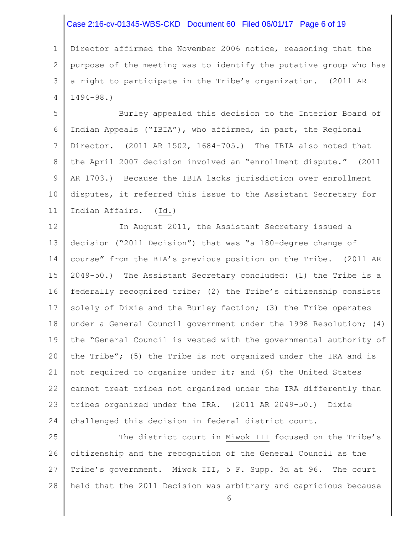# Case 2:16-cv-01345-WBS-CKD Document 60 Filed 06/01/17 Page 6 of 19

1 2 3 4 Director affirmed the November 2006 notice, reasoning that the purpose of the meeting was to identify the putative group who has a right to participate in the Tribe's organization. (2011 AR 1494-98.)

5 6 7 8 9 10 11 Burley appealed this decision to the Interior Board of Indian Appeals ("IBIA"), who affirmed, in part, the Regional Director. (2011 AR 1502, 1684-705.) The IBIA also noted that the April 2007 decision involved an "enrollment dispute." (2011 AR 1703.) Because the IBIA lacks jurisdiction over enrollment disputes, it referred this issue to the Assistant Secretary for Indian Affairs. (Id.)

12 13 14 15 16 17 18 19 20 21 22 23 24 In August 2011, the Assistant Secretary issued a decision ("2011 Decision") that was "a 180-degree change of course" from the BIA's previous position on the Tribe. (2011 AR 2049-50.) The Assistant Secretary concluded: (1) the Tribe is a federally recognized tribe; (2) the Tribe's citizenship consists solely of Dixie and the Burley faction; (3) the Tribe operates under a General Council government under the 1998 Resolution; (4) the "General Council is vested with the governmental authority of the Tribe"; (5) the Tribe is not organized under the IRA and is not required to organize under it; and (6) the United States cannot treat tribes not organized under the IRA differently than tribes organized under the IRA. (2011 AR 2049-50.) Dixie challenged this decision in federal district court.

25 26 27 28 The district court in Miwok III focused on the Tribe's citizenship and the recognition of the General Council as the Tribe's government. Miwok III, 5 F. Supp. 3d at 96. The court held that the 2011 Decision was arbitrary and capricious because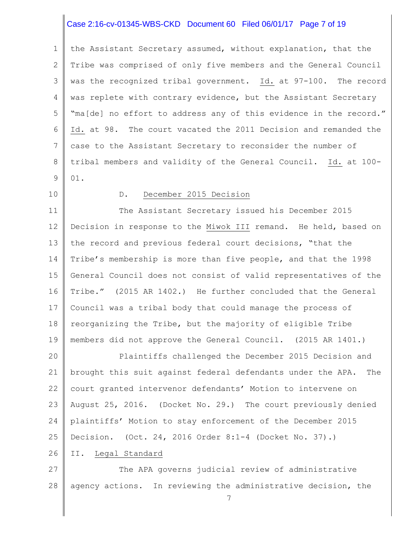## Case 2:16-cv-01345-WBS-CKD Document 60 Filed 06/01/17 Page 7 of 19

1 2 3 4 5 6 7 8 9 the Assistant Secretary assumed, without explanation, that the Tribe was comprised of only five members and the General Council was the recognized tribal government. Id. at 97-100. The record was replete with contrary evidence, but the Assistant Secretary "ma[de] no effort to address any of this evidence in the record." Id. at 98. The court vacated the 2011 Decision and remanded the case to the Assistant Secretary to reconsider the number of tribal members and validity of the General Council. Id. at 100- 01.

10

#### D. December 2015 Decision

11 12 13 14 15 16 17 18 19 The Assistant Secretary issued his December 2015 Decision in response to the Miwok III remand. He held, based on the record and previous federal court decisions, "that the Tribe's membership is more than five people, and that the 1998 General Council does not consist of valid representatives of the Tribe." (2015 AR 1402.) He further concluded that the General Council was a tribal body that could manage the process of reorganizing the Tribe, but the majority of eligible Tribe members did not approve the General Council. (2015 AR 1401.)

20 21 22 23 24 25 Plaintiffs challenged the December 2015 Decision and brought this suit against federal defendants under the APA. The court granted intervenor defendants' Motion to intervene on August 25, 2016. (Docket No. 29.) The court previously denied plaintiffs' Motion to stay enforcement of the December 2015 Decision. (Oct. 24, 2016 Order 8:1-4 (Docket No. 37).)

#### 26 II. Legal Standard

27 28 The APA governs judicial review of administrative agency actions. In reviewing the administrative decision, the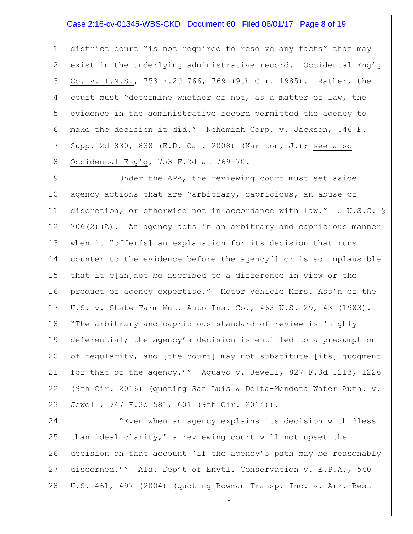## Case 2:16-cv-01345-WBS-CKD Document 60 Filed 06/01/17 Page 8 of 19

1 2 3 4 5 6 7 8 district court "is not required to resolve any facts" that may exist in the underlying administrative record. Occidental Eng'g Co. v. I.N.S., 753 F.2d 766, 769 (9th Cir. 1985). Rather, the court must "determine whether or not, as a matter of law, the evidence in the administrative record permitted the agency to make the decision it did." Nehemiah Corp. v. Jackson, 546 F. Supp. 2d 830, 838 (E.D. Cal. 2008) (Karlton, J.); see also Occidental Eng'g, 753 F.2d at 769-70.

9 10 11 12 13 14 15 16 17 18 19 20 21 22 23 Under the APA, the reviewing court must set aside agency actions that are "arbitrary, capricious, an abuse of discretion, or otherwise not in accordance with law." 5 U.S.C. § 706(2)(A). An agency acts in an arbitrary and capricious manner when it "offer[s] an explanation for its decision that runs counter to the evidence before the agency[] or is so implausible that it c[an]not be ascribed to a difference in view or the product of agency expertise." Motor Vehicle Mfrs. Ass'n of the U.S. v. State Farm Mut. Auto Ins. Co., 463 U.S. 29, 43 (1983). "The arbitrary and capricious standard of review is 'highly deferential; the agency's decision is entitled to a presumption of regularity, and [the court] may not substitute [its] judgment for that of the agency.'" Aguayo v. Jewell, 827 F.3d 1213, 1226 (9th Cir. 2016) (quoting San Luis & Delta-Mendota Water Auth. v. Jewell, 747 F.3d 581, 601 (9th Cir. 2014)).

24 25 26 27 28 "Even when an agency explains its decision with 'less than ideal clarity,' a reviewing court will not upset the decision on that account 'if the agency's path may be reasonably discerned.'" Ala. Dep't of Envtl. Conservation v. E.P.A., 540 U.S. 461, 497 (2004) (quoting Bowman Transp. Inc. v. Ark.-Best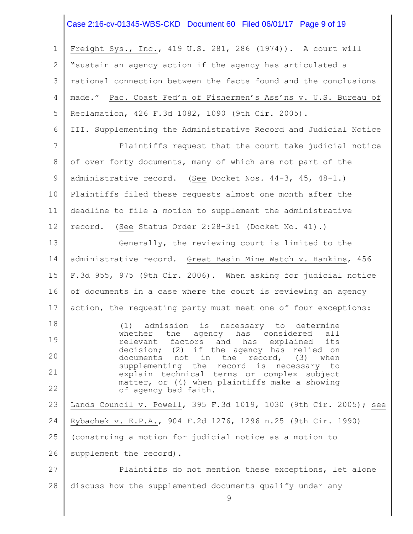#### Case 2:16-cv-01345-WBS-CKD Document 60 Filed 06/01/17 Page 9 of 19

1 2 3 4 5 6 7 8 9 10 11 12 13 14 15 16 17 18 19 20 21 22 23 24 25 26 27 28 Freight Sys., Inc., 419 U.S. 281, 286 (1974)). A court will "sustain an agency action if the agency has articulated a rational connection between the facts found and the conclusions made." Pac. Coast Fed'n of Fishermen's Ass'ns v. U.S. Bureau of Reclamation, 426 F.3d 1082, 1090 (9th Cir. 2005). III. Supplementing the Administrative Record and Judicial Notice Plaintiffs request that the court take judicial notice of over forty documents, many of which are not part of the administrative record. (See Docket Nos. 44-3, 45, 48-1.) Plaintiffs filed these requests almost one month after the deadline to file a motion to supplement the administrative record. (See Status Order 2:28-3:1 (Docket No. 41).) Generally, the reviewing court is limited to the administrative record. Great Basin Mine Watch v. Hankins, 456 F.3d 955, 975 (9th Cir. 2006). When asking for judicial notice of documents in a case where the court is reviewing an agency action, the requesting party must meet one of four exceptions: (1) admission is necessary to determine whether the agency has considered all relevant factors and has explained its decision; (2) if the agency has relied on documents not in the record, (3) when supplementing the record is necessary to explain technical terms or complex subject matter, or (4) when plaintiffs make a showing of agency bad faith. Lands Council v. Powell, 395 F.3d 1019, 1030 (9th Cir. 2005); see Rybachek v. E.P.A., 904 F.2d 1276, 1296 n.25 (9th Cir. 1990) (construing a motion for judicial notice as a motion to supplement the record). Plaintiffs do not mention these exceptions, let alone discuss how the supplemented documents qualify under any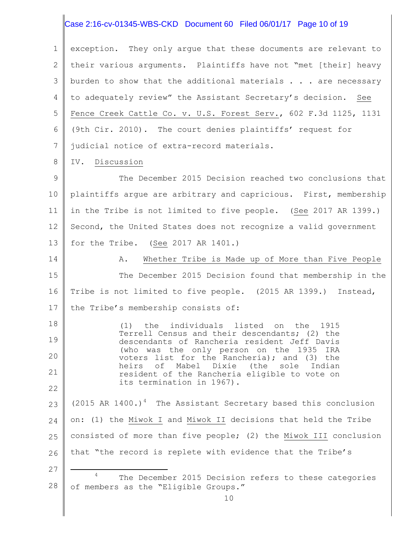#### Case 2:16-cv-01345-WBS-CKD Document 60 Filed 06/01/17 Page 10 of 19

1 2 3 4 5 6 7 exception. They only argue that these documents are relevant to their various arguments. Plaintiffs have not "met [their] heavy burden to show that the additional materials  $\ldots$  are necessary to adequately review" the Assistant Secretary's decision. See Fence Creek Cattle Co. v. U.S. Forest Serv., 602 F.3d 1125, 1131 (9th Cir. 2010). The court denies plaintiffs' request for judicial notice of extra-record materials.

8 IV. Discussion

27

÷.

9 10 11 12 13 The December 2015 Decision reached two conclusions that plaintiffs argue are arbitrary and capricious. First, membership in the Tribe is not limited to five people. (See 2017 AR 1399.) Second, the United States does not recognize a valid government for the Tribe. (See 2017 AR 1401.)

14 15 16 17 A. Whether Tribe is Made up of More than Five People The December 2015 Decision found that membership in the Tribe is not limited to five people. (2015 AR 1399.) Instead, the Tribe's membership consists of:

18 19 20 21 22 (1) the individuals listed on the 1915 Terrell Census and their descendants; (2) the descendants of Rancheria resident Jeff Davis (who was the only person on the 1935 IRA voters list for the Rancheria); and (3) the heirs of Mabel Dixie (the sole Indian resident of the Rancheria eligible to vote on its termination in 1967).

23 24 25 26 (2015 AR 1400.)<sup>4</sup> The Assistant Secretary based this conclusion on: (1) the Miwok I and Miwok II decisions that held the Tribe consisted of more than five people; (2) the Miwok III conclusion that "the record is replete with evidence that the Tribe's

28 The December 2015 Decision refers to these categories of members as the "Eligible Groups."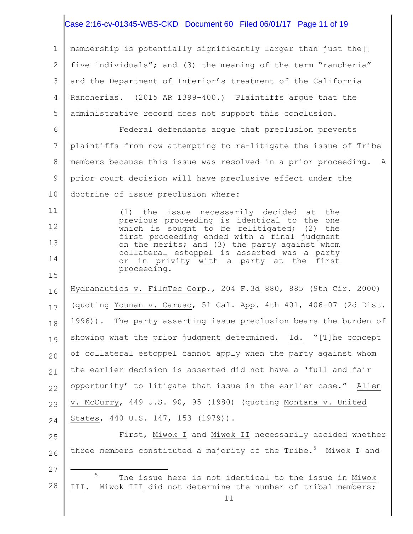## Case 2:16-cv-01345-WBS-CKD Document 60 Filed 06/01/17 Page 11 of 19

1 2 3 4 5 membership is potentially significantly larger than just the[] five individuals"; and (3) the meaning of the term "rancheria" and the Department of Interior's treatment of the California Rancherias. (2015 AR 1399-400.) Plaintiffs argue that the administrative record does not support this conclusion.

6 7 8 9 10 Federal defendants argue that preclusion prevents plaintiffs from now attempting to re-litigate the issue of Tribe members because this issue was resolved in a prior proceeding. A prior court decision will have preclusive effect under the doctrine of issue preclusion where:

(1) the issue necessarily decided at the previous proceeding is identical to the one which is sought to be relitigated; (2) the first proceeding ended with a final judgment on the merits; and (3) the party against whom collateral estoppel is asserted was a party or in privity with a party at the first proceeding.

11

12

13

14

15

27

16 17 18 19 20 21 22 23 24 Hydranautics v. FilmTec Corp., 204 F.3d 880, 885 (9th Cir. 2000) (quoting Younan v. Caruso, 51 Cal. App. 4th 401, 406-07 (2d Dist. 1996)). The party asserting issue preclusion bears the burden of showing what the prior judgment determined. Id. "[T]he concept of collateral estoppel cannot apply when the party against whom the earlier decision is asserted did not have a 'full and fair opportunity' to litigate that issue in the earlier case." Allen v. McCurry, 449 U.S. 90, 95 (1980) (quoting Montana v. United States, 440 U.S. 147, 153 (1979)).

25 26 First, Miwok I and Miwok II necessarily decided whether three members constituted a majority of the Tribe.<sup>5</sup> Miwok I and

28 ÷. <sup>5</sup> The issue here is not identical to the issue in Miwok III. Miwok III did not determine the number of tribal members;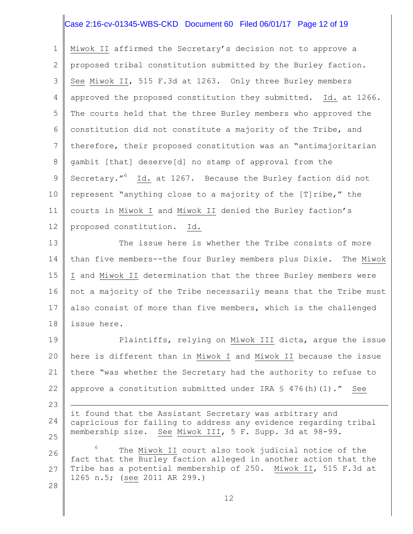# Case 2:16-cv-01345-WBS-CKD Document 60 Filed 06/01/17 Page 12 of 19

1 2 3 4 5 6 7 8 9 10 11 12 Miwok II affirmed the Secretary's decision not to approve a proposed tribal constitution submitted by the Burley faction. See Miwok II, 515 F.3d at 1263. Only three Burley members approved the proposed constitution they submitted. Id. at 1266. The courts held that the three Burley members who approved the constitution did not constitute a majority of the Tribe, and therefore, their proposed constitution was an "antimajoritarian gambit [that] deserve[d] no stamp of approval from the Secretary."<sup>6</sup> Id. at 1267. Because the Burley faction did not represent "anything close to a majority of the [T]ribe," the courts in Miwok I and Miwok II denied the Burley faction's proposed constitution. Id.

13 14 15 16 17 18 The issue here is whether the Tribe consists of more than five members--the four Burley members plus Dixie. The Miwok I and Miwok II determination that the three Burley members were not a majority of the Tribe necessarily means that the Tribe must also consist of more than five members, which is the challenged issue here.

19 20 21 22 Plaintiffs, relying on Miwok III dicta, argue the issue here is different than in Miwok I and Miwok II because the issue there "was whether the Secretary had the authority to refuse to approve a constitution submitted under IRA  $\leq$  476(h)(1)." See

24 25 it found that the Assistant Secretary was arbitrary and capricious for failing to address any evidence regarding tribal membership size. See Miwok III, 5 F. Supp. 3d at 98-99.

23

÷.

28

26 27 The Miwok II court also took judicial notice of the fact that the Burley faction alleged in another action that the Tribe has a potential membership of 250. Miwok II, 515 F.3d at 1265 n.5; (see 2011 AR 299.)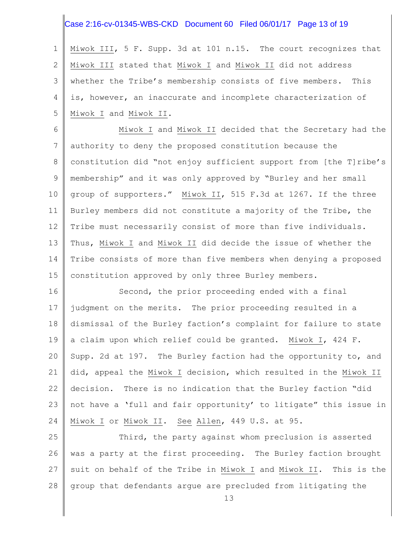## Case 2:16-cv-01345-WBS-CKD Document 60 Filed 06/01/17 Page 13 of 19

1 2 3 4 5 Miwok III, 5 F. Supp. 3d at 101 n.15. The court recognizes that Miwok III stated that Miwok I and Miwok II did not address whether the Tribe's membership consists of five members. This is, however, an inaccurate and incomplete characterization of Miwok I and Miwok II.

6 7 8 9 10 11 12 13 14 15 Miwok I and Miwok II decided that the Secretary had the authority to deny the proposed constitution because the constitution did "not enjoy sufficient support from [the T]ribe's membership" and it was only approved by "Burley and her small group of supporters." Miwok II, 515 F.3d at 1267. If the three Burley members did not constitute a majority of the Tribe, the Tribe must necessarily consist of more than five individuals. Thus, Miwok I and Miwok II did decide the issue of whether the Tribe consists of more than five members when denying a proposed constitution approved by only three Burley members.

16 17 18 19 20 21 22 23 24 Second, the prior proceeding ended with a final judgment on the merits. The prior proceeding resulted in a dismissal of the Burley faction's complaint for failure to state a claim upon which relief could be granted. Miwok I, 424 F. Supp. 2d at 197. The Burley faction had the opportunity to, and did, appeal the Miwok I decision, which resulted in the Miwok II decision. There is no indication that the Burley faction "did not have a 'full and fair opportunity' to litigate" this issue in Miwok I or Miwok II. See Allen, 449 U.S. at 95.

25 26 27 28 Third, the party against whom preclusion is asserted was a party at the first proceeding. The Burley faction brought suit on behalf of the Tribe in Miwok I and Miwok II. This is the group that defendants argue are precluded from litigating the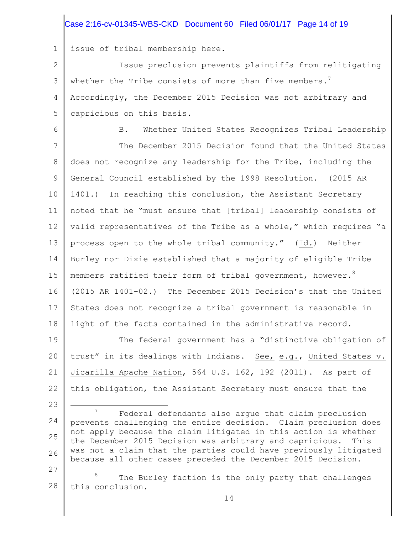## Case 2:16-cv-01345-WBS-CKD Document 60 Filed 06/01/17 Page 14 of 19

1 issue of tribal membership here.

2 3 4 5 Issue preclusion prevents plaintiffs from relitigating whether the Tribe consists of more than five members.<sup>7</sup> Accordingly, the December 2015 Decision was not arbitrary and capricious on this basis.

6

23

÷.

B. Whether United States Recognizes Tribal Leadership

7 8 9 10 11 12 13 14 15 16 17 18 The December 2015 Decision found that the United States does not recognize any leadership for the Tribe, including the General Council established by the 1998 Resolution. (2015 AR 1401.) In reaching this conclusion, the Assistant Secretary noted that he "must ensure that [tribal] leadership consists of valid representatives of the Tribe as a whole," which requires "a process open to the whole tribal community." (Id.) Neither Burley nor Dixie established that a majority of eligible Tribe members ratified their form of tribal government, however.  $^8$ (2015 AR 1401-02.) The December 2015 Decision's that the United States does not recognize a tribal government is reasonable in light of the facts contained in the administrative record.

19 20 21 22 The federal government has a "distinctive obligation of trust" in its dealings with Indians. See, e.g., United States v. Jicarilla Apache Nation, 564 U.S. 162, 192 (2011). As part of this obligation, the Assistant Secretary must ensure that the

24 25 26 27 <sup>7</sup> Federal defendants also arque that claim preclusion prevents challenging the entire decision. Claim preclusion does not apply because the claim litigated in this action is whether the December 2015 Decision was arbitrary and capricious. This was not a claim that the parties could have previously litigated because all other cases preceded the December 2015 Decision.

28 The Burley faction is the only party that challenges this conclusion.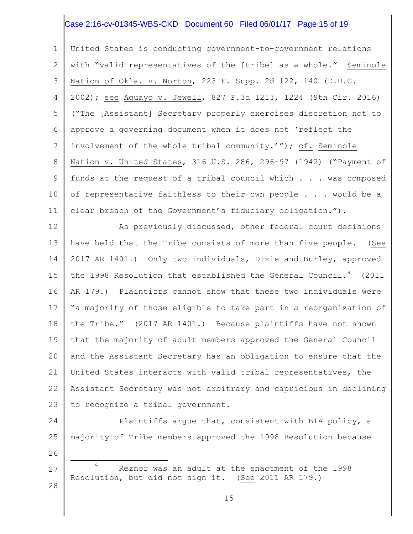# Case 2:16-cv-01345-WBS-CKD Document 60 Filed 06/01/17 Page 15 of 19

1 2 3 4 5 6 7 8 9 10 11 United States is conducting government-to-government relations with "valid representatives of the [tribe] as a whole." Seminole Nation of Okla. v. Norton, 223 F. Supp. 2d 122, 140 (D.D.C. 2002); see Aguayo v. Jewell, 827 F.3d 1213, 1224 (9th Cir. 2016) ("The [Assistant] Secretary properly exercises discretion not to approve a governing document when it does not 'reflect the involvement of the whole tribal community.'"); cf. Seminole Nation v. United States, 316 U.S. 286, 296-97 (1942) ("Payment of funds at the request of a tribal council which . . . was composed of representative faithless to their own people . . . would be a clear breach of the Government's fiduciary obligation.").

12 13 14 15 16 17 18 19 20 21 22 23 As previously discussed, other federal court decisions have held that the Tribe consists of more than five people. (See 2017 AR 1401.) Only two individuals, Dixie and Burley, approved the 1998 Resolution that established the General Council.<sup>9</sup> (2011 AR 179.) Plaintiffs cannot show that these two individuals were "a majority of those eligible to take part in a reorganization of the Tribe." (2017 AR 1401.) Because plaintiffs have not shown that the majority of adult members approved the General Council and the Assistant Secretary has an obligation to ensure that the United States interacts with valid tribal representatives, the Assistant Secretary was not arbitrary and capricious in declining to recognize a tribal government.

24 25 Plaintiffs argue that, consistent with BIA policy, a majority of Tribe members approved the 1998 Resolution because

27 28 <sup>9</sup> Reznor was an adult at the enactment of the 1998 Resolution, but did not sign it. (See 2011 AR 179.)

26

L,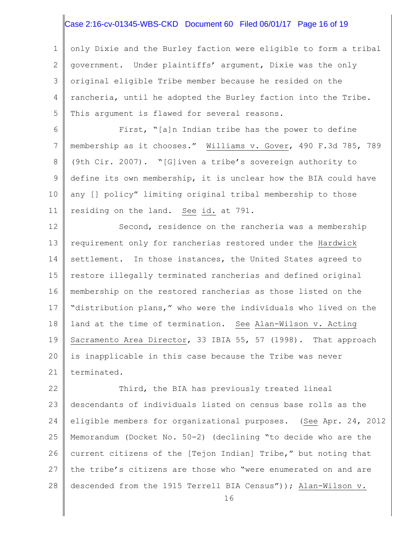## Case 2:16-cv-01345-WBS-CKD Document 60 Filed 06/01/17 Page 16 of 19

1 2 3 4 5 only Dixie and the Burley faction were eligible to form a tribal government. Under plaintiffs' argument, Dixie was the only original eligible Tribe member because he resided on the rancheria, until he adopted the Burley faction into the Tribe. This argument is flawed for several reasons.

6 7 8 9 10 11 First, "[a]n Indian tribe has the power to define membership as it chooses." Williams v. Gover, 490 F.3d 785, 789 (9th Cir. 2007). "[G]iven a tribe's sovereign authority to define its own membership, it is unclear how the BIA could have any [] policy" limiting original tribal membership to those residing on the land. See id. at 791.

12 13 14 15 16 17 18 19 20 21 Second, residence on the rancheria was a membership requirement only for rancherias restored under the Hardwick settlement. In those instances, the United States agreed to restore illegally terminated rancherias and defined original membership on the restored rancherias as those listed on the "distribution plans," who were the individuals who lived on the land at the time of termination. See Alan-Wilson v. Acting Sacramento Area Director, 33 IBIA 55, 57 (1998). That approach is inapplicable in this case because the Tribe was never terminated.

22 23 24 25 26 27 28 Third, the BIA has previously treated lineal descendants of individuals listed on census base rolls as the eligible members for organizational purposes. (See Apr. 24, 2012 Memorandum (Docket No. 50-2) (declining "to decide who are the current citizens of the [Tejon Indian] Tribe," but noting that the tribe's citizens are those who "were enumerated on and are descended from the 1915 Terrell BIA Census")); Alan-Wilson v.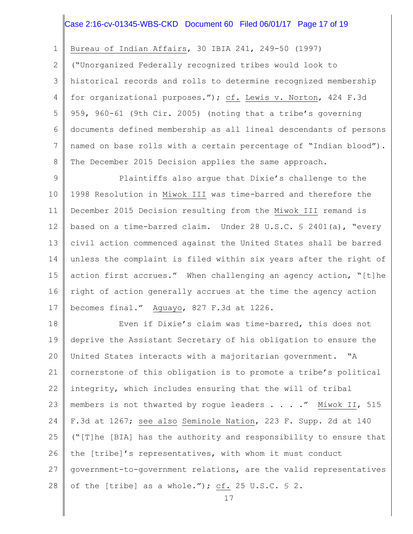## Case 2:16-cv-01345-WBS-CKD Document 60 Filed 06/01/17 Page 17 of 19

1 Bureau of Indian Affairs, 30 IBIA 241, 249-50 (1997)

2 3 4 5 6 7 8 ("Unorganized Federally recognized tribes would look to historical records and rolls to determine recognized membership for organizational purposes."); cf. Lewis v. Norton, 424 F.3d 959, 960-61 (9th Cir. 2005) (noting that a tribe's governing documents defined membership as all lineal descendants of persons named on base rolls with a certain percentage of "Indian blood"). The December 2015 Decision applies the same approach.

9 10 11 12 13 14 15 16 17 Plaintiffs also argue that Dixie's challenge to the 1998 Resolution in Miwok III was time-barred and therefore the December 2015 Decision resulting from the Miwok III remand is based on a time-barred claim. Under 28 U.S.C. § 2401(a), "every civil action commenced against the United States shall be barred unless the complaint is filed within six years after the right of action first accrues." When challenging an agency action, "[t]he right of action generally accrues at the time the agency action becomes final." Aguayo, 827 F.3d at 1226.

18 19 20 21 22 23 24 25 26 27 28 Even if Dixie's claim was time-barred, this does not deprive the Assistant Secretary of his obligation to ensure the United States interacts with a majoritarian government. "A cornerstone of this obligation is to promote a tribe's political integrity, which includes ensuring that the will of tribal members is not thwarted by roque leaders . . . . " Miwok II, 515 F.3d at 1267; see also Seminole Nation, 223 F. Supp. 2d at 140 ("[T]he [BIA] has the authority and responsibility to ensure that the [tribe]'s representatives, with whom it must conduct government-to-government relations, are the valid representatives of the [tribe] as a whole."); cf. 25 U.S.C. § 2.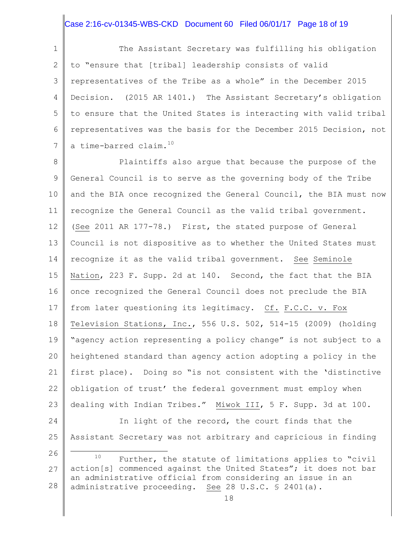### Case 2:16-cv-01345-WBS-CKD Document 60 Filed 06/01/17 Page 18 of 19

1 2 3 4 5 6 7 The Assistant Secretary was fulfilling his obligation to "ensure that [tribal] leadership consists of valid representatives of the Tribe as a whole" in the December 2015 Decision. (2015 AR 1401.) The Assistant Secretary's obligation to ensure that the United States is interacting with valid tribal representatives was the basis for the December 2015 Decision, not a time-barred claim.<sup>10</sup>

8 9 10 11 12 13 14 15 16 17 18 19 20 21 22 23 Plaintiffs also argue that because the purpose of the General Council is to serve as the governing body of the Tribe and the BIA once recognized the General Council, the BIA must now recognize the General Council as the valid tribal government. (See 2011 AR 177-78.) First, the stated purpose of General Council is not dispositive as to whether the United States must recognize it as the valid tribal government. See Seminole Nation, 223 F. Supp. 2d at 140. Second, the fact that the BIA once recognized the General Council does not preclude the BIA from later questioning its legitimacy. Cf. F.C.C. v. Fox Television Stations, Inc., 556 U.S. 502, 514-15 (2009) (holding "agency action representing a policy change" is not subject to a heightened standard than agency action adopting a policy in the first place). Doing so "is not consistent with the 'distinctive obligation of trust' the federal government must employ when dealing with Indian Tribes." Miwok III, 5 F. Supp. 3d at 100.

24

÷.

25 Assistant Secretary was not arbitrary and capricious in finding

In light of the record, the court finds that the

<sup>26</sup> 27 28 <sup>10</sup> Further, the statute of limitations applies to "civil action[s] commenced against the United States"; it does not bar an administrative official from considering an issue in an administrative proceeding. See 28 U.S.C. § 2401(a).